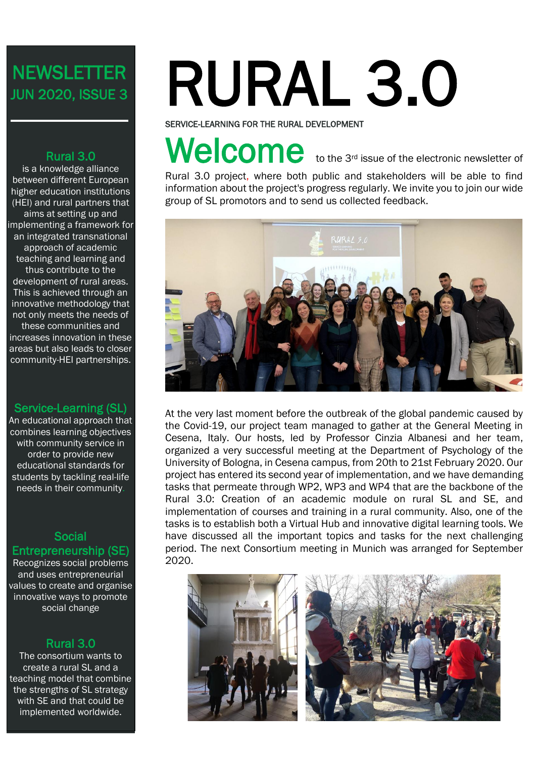# **NEWSLETTER** JUN 2020, ISSUE 3

#### Rural 3.0

is a knowledge alliance between different European higher education institutions (HEI) and rural partners that aims at setting up and implementing a framework for an integrated transnational approach of academic teaching and learning and thus contribute to the development of rural areas. This is achieved through an innovative methodology that not only meets the needs of these communities and increases innovation in these areas but also leads to closer community-HEI partnerships.

#### Service-Learning (SL)

An educational approach that combines learning objectives with community service in order to provide new educational standards for students by tackling real-life needs in their community.

#### Social Entrepreneurship (SE)

Recognizes social problems and uses entrepreneurial values to create and organise innovative ways to promote social change

#### Rural 3.0

The consortium wants to create a rural SL and a teaching model that combine the strengths of SL strategy with SE and that could be implemented worldwide.

# RURAL 3.0

SERVICE-LEARNING FOR THE RURAL DEVELOPMENT

# Welcome to the 3<sup>rd</sup> issue of the electronic newsletter of

Rural 3.0 project, where both public and stakeholders will be able to find information about the project's progress regularly. We invite you to join our wide group of SL promotors and to send us collected feedback.



At the very last moment before the outbreak of the global pandemic caused by the Covid-19, our project team managed to gather at the General Meeting in Cesena, Italy. Our hosts, led by Professor Cinzia Albanesi and her team, organized a very successful meeting at the Department of Psychology of the University of Bologna, in Cesena campus, from 20th to 21st February 2020. Our project has entered its second year of implementation, and we have demanding tasks that permeate through WP2, WP3 and WP4 that are the backbone of the Rural 3.0: Creation of an academic module on rural SL and SE, and implementation of courses and training in a rural community. Also, one of the tasks is to establish both a Virtual Hub and innovative digital learning tools. We have discussed all the important topics and tasks for the next challenging period. The next Consortium meeting in Munich was arranged for September 2020.



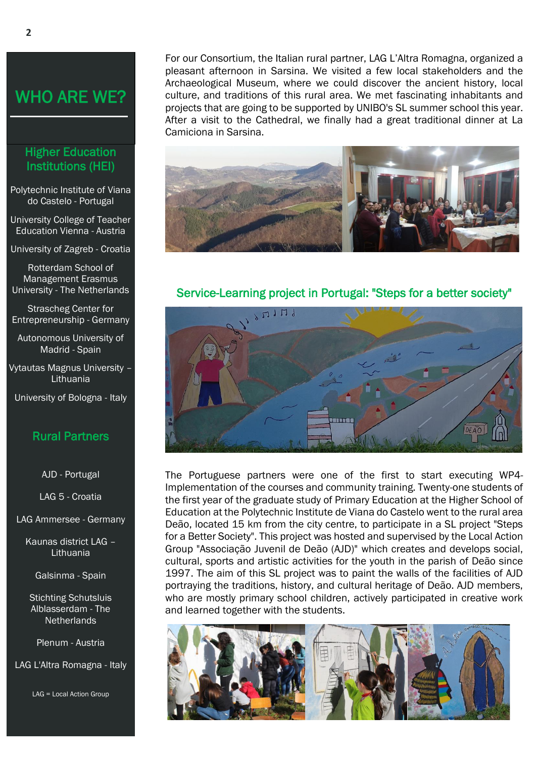### WHO ARE WE?

#### Higher Education Institutions (HEI)

Polytechnic Institute of Viana do Castelo - Portugal

University College of Teacher Education Vienna - Austria

University of Zagreb - Croatia

Rotterdam School of Management Erasmus University - The Netherlands

Strascheg Center for Entrepreneurship - Germany

Autonomous University of Madrid - Spain

Vytautas Magnus University – Lithuania

University of Bologna - Italy

#### Rural Partners

AJD - Portugal

LAG 5 - Croatia

LAG Ammersee - Germany

Kaunas district LAG – Lithuania

Galsinma - Spain

Stichting Schutsluis Alblasserdam - The **Netherlands** 

Plenum - Austria

LAG L'Altra Romagna - Italy

LAG = Local Action Group

For our Consortium, the Italian rural partner, LAG L'Altra Romagna, organized a pleasant afternoon in Sarsina. We visited a few local stakeholders and the Archaeological Museum, where we could discover the ancient history, local culture, and traditions of this rural area. We met fascinating inhabitants and projects that are going to be supported by UNIBO's SL summer school this year. After a visit to the Cathedral, we finally had a great traditional dinner at La Camiciona in Sarsina.



#### Service-Learning project in Portugal: "Steps for a better society"



The Portuguese partners were one of the first to start executing WP4- Implementation of the courses and community training. Twenty-one students of the first year of the graduate study of Primary Education at the Higher School of Education at the Polytechnic Institute de Viana do Castelo went to the rural area Deão, located 15 km from the city centre, to participate in a SL project "Steps for a Better Society". This project was hosted and supervised by the Local Action Group "Associação Juvenil de Deão (AJD)" which creates and develops social, cultural, sports and artistic activities for the youth in the parish of Deão since 1997. The aim of this SL project was to paint the walls of the facilities of AJD portraying the traditions, history, and cultural heritage of Deão. AJD members, who are mostly primary school children, actively participated in creative work and learned together with the students.

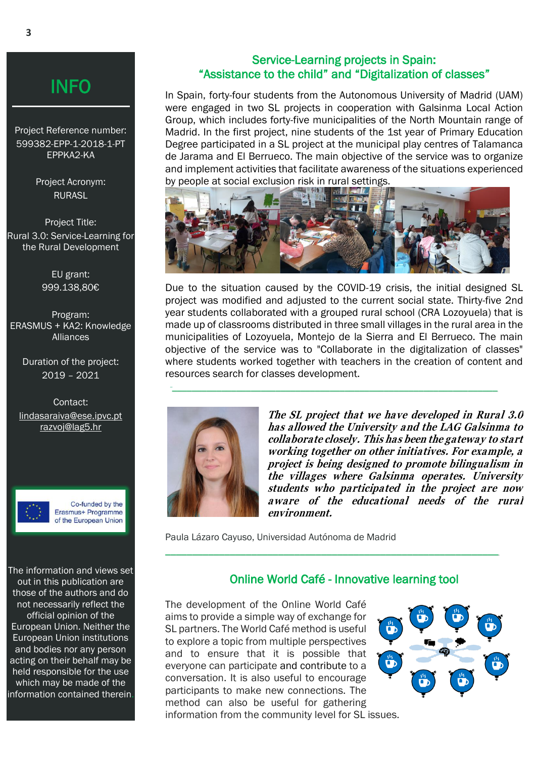#### Service-Learning projects in Spain: "Assistance to the child" and "Digitalization of classes"

In Spain, forty-four students from the Autonomous University of Madrid (UAM) were engaged in two SL projects in cooperation with Galsinma Local Action Group, which includes forty-five municipalities of the North Mountain range of Madrid. In the first project, nine students of the 1st year of Primary Education Degree participated in a SL project at the municipal play centres of Talamanca de Jarama and El Berrueco. The main objective of the service was to organize and implement activities that facilitate awareness of the situations experienced by people at social exclusion risk in rural settings.



Due to the situation caused by the COVID-19 crisis, the initial designed SL project was modified and adjusted to the current social state. Thirty-five 2nd year students collaborated with a grouped rural school (CRA Lozoyuela) that is made up of classrooms distributed in three small villages in the rural area in the municipalities of Lozoyuela, Montejo de la Sierra and El Berrueco. The main objective of the service was to "Collaborate in the digitalization of classes" where students worked together with teachers in the creation of content and resources search for classes development.

*-\_\_\_\_\_\_\_\_\_\_\_\_\_\_\_\_\_\_\_\_\_\_\_\_\_\_\_\_\_\_\_\_\_\_\_\_\_\_\_\_\_\_\_\_\_\_\_\_\_\_\_\_\_\_\_\_\_\_\_\_\_\_\_\_\_\_*



*The SL project that we have developed in Rural 3.0 has allowed the University and the LAG Galsinma to collaborate closely. This has been the gateway to start working together on other initiatives. For example, a project is being designed to promote bilingualism in the villages where Galsinma operates. University students who participated in the project are now aware of the educational needs of the rural environment.* 

Paula Lázaro Cayuso, Universidad Autónoma de Madrid

#### Online World Café - Innovative learning tool

\_\_\_\_\_\_\_\_\_\_\_\_\_\_\_\_\_\_\_\_\_\_\_\_\_\_\_\_\_\_\_\_\_\_\_\_\_\_\_\_\_\_\_\_\_\_\_\_\_\_\_\_\_\_\_\_\_\_\_\_\_\_

The development of the Online World Café aims to provide a simple way of exchange for SL partners. The World Café method is useful to explore a topic from multiple perspectives and to ensure that it is possible that everyone can participate and contribute to a conversation. It is also useful to encourage participants to make new connections. The method can also be useful for gathering information from the community level for SL issues.



## **INFO**

Project Reference number: 599382-EPP-1-2018-1-PT EPPKA2-KA

> Project Acronym: RURASL

Project Title: Rural 3.0: Service-Learning for the Rural Development

> EU grant: 999.138,80€

Program: ERASMUS + KA2: Knowledge Alliances

Duration of the project: 2019 – 2021

Contact: lindasaraiva@ese.ipvc.pt [razvoj@lag5.hr](mailto:razvoj@lag5.hr)



Co-funded by the Erasmus+ Programme of the European Union

The information and views set out in this publication are those of the authors and do not necessarily reflect the official opinion of the European Union. Neither the European Union institutions and bodies nor any person acting on their behalf may be held responsible for the use which may be made of the information contained therein.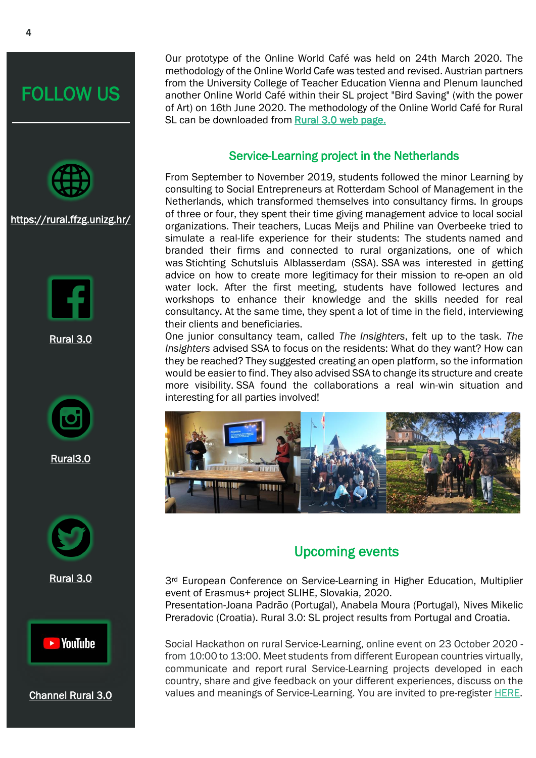FOLLOW US



<https://rural.ffzg.unizg.hr/>



[Rural 3.0](https://www.facebook.com/Rural-30-2133091170249181) 



[Rural3.0](https://www.instagram.com/rural3.0/) 



[Rural 3.0](https://twitter.com/0Rural) 



[Channel Rural 3.0](https://www.youtube.com/channel/UCEOwS_yvg6PiOoCb_6NLWhg/videos) 

Our prototype of the Online World Café was held on 24th March 2020. The methodology of the Online World Cafe was tested and revised. Austrian partners from the University College of Teacher Education Vienna and Plenum launched another Online World Café within their SL project "Bird Saving" (with the power of Art) on 16th June 2020. The methodology of the Online World Café for Rural SL can be downloaded from [Rural 3.0 web page.](https://rural.ffzg.unizg.hr/output/)

#### Service-Learning project in the Netherlands

From September to November 2019, students followed the minor Learning by consulting to Social Entrepreneurs at Rotterdam School of Management in the Netherlands, which transformed themselves into consultancy firms. In groups of three or four, they spent their time giving management advice to local social organizations. Their teachers, Lucas Meijs and Philine van Overbeeke tried to simulate a real-life experience for their students: The students named and branded their firms and connected to rural organizations, one of which was Stichting Schutsluis Alblasserdam (SSA). SSA was interested in getting advice on how to create more legitimacy for their mission to re-open an old water lock. After the first meeting, students have followed lectures and workshops to enhance their knowledge and the skills needed for real consultancy. At the same time, they spent a lot of time in the field, interviewing their clients and beneficiaries.

One junior consultancy team, called *The Insighters*, felt up to the task. *The Insighters* advised SSA to focus on the residents: What do they want? How can they be reached? They suggested creating an open platform, so the information would be easier to find. They also advised SSA to change its structure and create more visibility. SSA found the collaborations a real win-win situation and interesting for all parties involved!



#### Upcoming events

3<sup>rd</sup> European Conference on Service-Learning in Higher Education, Multiplier event of Erasmus+ project SLIHE, Slovakia, 2020.

Presentation-Joana Padrão (Portugal), Anabela Moura (Portugal), Nives Mikelic Preradovic (Croatia). Rural 3.0: SL project results from Portugal and Croatia.

Social Hackathon on rural Service-Learning, online event on 23 October 2020 from 10:00 to 13:00. Meet students from different European countries virtually, communicate and report rural Service-Learning projects developed in each country, share and give feedback on your different experiences, discuss on the values and meanings of Service-Learning. You are invited to pre-register [HERE.](https://unibopsice.eu.qualtrics.com/jfe/form/SV_agZs0oHS37iz2Rv)